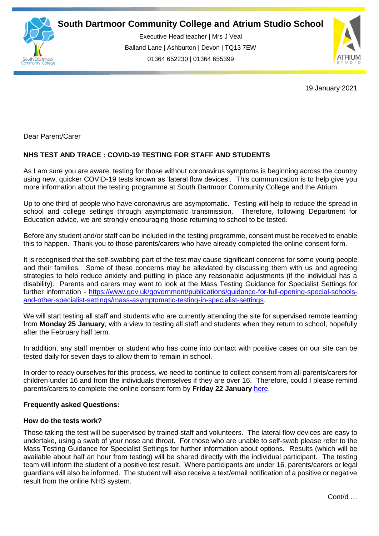

Executive Head teacher | Mrs J Veal Balland Lane | Ashburton | Devon | TQ13 7EW 01364 652230 | 01364 655399

ww.south.co.uk | [www.atrium-studio.co.uk](http://www.atrium-studio.co.uk/) | www.atrium-studio.co.uk



19 January 2021

Dear Parent/Carer

# **NHS TEST AND TRACE : COVID-19 TESTING FOR STAFF AND STUDENTS**

As I am sure you are aware, testing for those without coronavirus symptoms is beginning across the country using new, quicker COVID-19 tests known as 'lateral flow devices'. This communication is to help give you more information about the testing programme at South Dartmoor Community College and the Atrium.

Up to one third of people who have coronavirus are asymptomatic. Testing will help to reduce the spread in school and college settings through asymptomatic transmission. Therefore, following Department for Education advice, we are strongly encouraging those returning to school to be tested.

Before any student and/or staff can be included in the testing programme, consent must be received to enable this to happen. Thank you to those parents/carers who have already completed the online consent form.

It is recognised that the self-swabbing part of the test may cause significant concerns for some young people and their families. Some of these concerns may be alleviated by discussing them with us and agreeing strategies to help reduce anxiety and putting in place any reasonable adjustments (if the individual has a disability). Parents and carers may want to look at the Mass Testing Guidance for Specialist Settings for further information - [https://www.gov.uk/government/publications/guidance-for-full-opening-special-schools](http://email.groupcallalert.com/ls/click?upn=QrOBJcca7DQpcdTvZvGK8fe98v31NAqP4CFWmVtOI0FaWBopzO13-2Br9gsG2Ch8gnHm4CYyMTTJ7Aj88LdeKoaJ1BYfbPkr9L-2B-2BCuyrEZOyA583MeU-2BjTark0P1dpnhKSVOgPb-2F4UUiWrDPSjPOHRBtZ8duIaCuYZdXvnvBuJjlwTzdZIpb5Zk7wOPefWUO1c-2FxE-2FiGMyCEIsgfz8bcTFgxQbznRaLpHezkm0ziDLwHw-3DdYSn_D-2BG7CuR43iXKtkMJXihMbnmFbxX9V3-2FoBx97foI0XR-2BbIihLqYb6wWZ-2B8EHNs0ov0cR1Sca0FC8-2BGwlGGNHekSmh5GmXdqkQNueQNvr3FxeLOmqDO8IGdQ9sY3ZB483ogq45pMlFUyuC-2BhufvFt5AFBymyqc00tNaGvx3RwyacT22hqYSAU1Os4vyYf-2BXXzWHqC3-2Bvcs-2Bztzr88HpCD6ytA7WRhvEB3-2FM86O5OJfi8ZvwRt-2FmCUnQCSMfh6wwUlPkVhdFNzTNxTOFBbvgV93FcAxHjgLRGvEOM53skspAQYEw97LAU2v5qDEGgUhzm5MJjyTfpz1zJOaSU43qzuT7W2op09-2Fn98man2-2F02yzRcLkEdp1t2S8D0PK-2FEQhjBIZspZOcEfMKG0dHJpII-2FH9ZmZL6FAgKzVRidxQ5xsj-2FJcLSjTv1affXB-2F0q83v-2BN-2Ff)[and-other-specialist-settings/mass-asymptomatic-testing-in-specialist-settings.](http://email.groupcallalert.com/ls/click?upn=QrOBJcca7DQpcdTvZvGK8fe98v31NAqP4CFWmVtOI0FaWBopzO13-2Br9gsG2Ch8gnHm4CYyMTTJ7Aj88LdeKoaJ1BYfbPkr9L-2B-2BCuyrEZOyA583MeU-2BjTark0P1dpnhKSVOgPb-2F4UUiWrDPSjPOHRBtZ8duIaCuYZdXvnvBuJjlwTzdZIpb5Zk7wOPefWUO1c-2FxE-2FiGMyCEIsgfz8bcTFgxQbznRaLpHezkm0ziDLwHw-3DdYSn_D-2BG7CuR43iXKtkMJXihMbnmFbxX9V3-2FoBx97foI0XR-2BbIihLqYb6wWZ-2B8EHNs0ov0cR1Sca0FC8-2BGwlGGNHekSmh5GmXdqkQNueQNvr3FxeLOmqDO8IGdQ9sY3ZB483ogq45pMlFUyuC-2BhufvFt5AFBymyqc00tNaGvx3RwyacT22hqYSAU1Os4vyYf-2BXXzWHqC3-2Bvcs-2Bztzr88HpCD6ytA7WRhvEB3-2FM86O5OJfi8ZvwRt-2FmCUnQCSMfh6wwUlPkVhdFNzTNxTOFBbvgV93FcAxHjgLRGvEOM53skspAQYEw97LAU2v5qDEGgUhzm5MJjyTfpz1zJOaSU43qzuT7W2op09-2Fn98man2-2F02yzRcLkEdp1t2S8D0PK-2FEQhjBIZspZOcEfMKG0dHJpII-2FH9ZmZL6FAgKzVRidxQ5xsj-2FJcLSjTv1affXB-2F0q83v-2BN-2Ff)

We will start testing all staff and students who are currently attending the site for supervised remote learning from **Monday 25 January**, with a view to testing all staff and students when they return to school, hopefully after the February half term.

In addition, any staff member or student who has come into contact with positive cases on our site can be tested daily for seven days to allow them to remain in school.

In order to ready ourselves for this process, we need to continue to collect consent from all parents/carers for children under 16 and from the individuals themselves if they are over 16. Therefore, could I please remind parents/carers to complete the online consent form by **Friday 22 January** [here.](https://forms.office.com/Pages/ResponsePage.aspx?id=Yeyemmb7BU6cR6U6z4zv4hAOtBsE44BDvoKx4fpzZ_FUQjhZRjg4TFUwU1VROVNTSTdFRDY5Qk1YWS4u)

# **Frequently asked Questions:**

# **How do the tests work?**

Those taking the test will be supervised by trained staff and volunteers. The lateral flow devices are easy to undertake, using a swab of your nose and throat. For those who are unable to self-swab please refer to the Mass Testing Guidance for Specialist Settings for further information about options. Results (which will be available about half an hour from testing) will be shared directly with the individual participant. The testing team will inform the student of a positive test result. Where participants are under 16, parents/carers or legal guardians will also be informed. The student will also receive a text/email notification of a positive or negative result from the online NHS system.